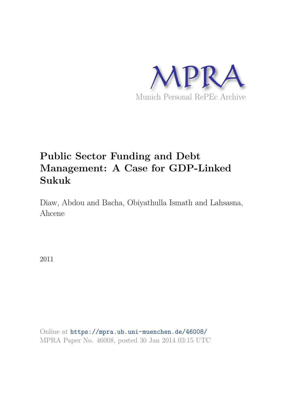

# **Public Sector Funding and Debt Management: A Case for GDP-Linked Sukuk**

Diaw, Abdou and Bacha, Obiyathulla Ismath and Lahsasna, Ahcene

2011

Online at https://mpra.ub.uni-muenchen.de/46008/ MPRA Paper No. 46008, posted 30 Jan 2014 03:15 UTC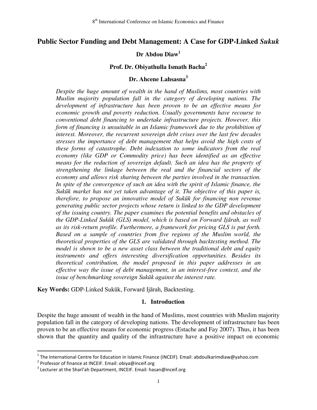## **Public Sector Funding and Debt Management: A Case for GDP-Linked** *Sukuk*

## **Dr Abdou Diaw<sup>1</sup>**

## **Prof. Dr. Obiyathulla Ismath Bacha<sup>2</sup>**

## **Dr. Ahcene Lahsasna<sup>3</sup>**

*Despite the huge amount of wealth in the hand of Muslims, most countries with Muslim majority population fall in the category of developing nations. The development of infrastructure has been proven to be an effective means for economic growth and poverty reduction. Usually governments have recourse to conventional debt financing to undertake infrastructure projects. However, this form of financing is unsuitable in an Islamic framework due to the prohibition of interest. Moreover, the recurrent sovereign debt crises over the last few decades stresses the importance of debt management that helps avoid the high costs of these forms of catastrophe. Debt indexation to some indicators from the real economy (like GDP or Commodity price) has been identified as an effective means for the reduction of sovereign default. Such an idea has the property of strengthening the linkage between the real and the financial sectors of the economy and allows risk sharing between the parties involved in the transaction.*  In spite of the convergence of such an idea with the spirit of Islamic finance, the *Sukūk market has not yet taken advantage of it. The objective of this paper is, therefore, to propose an innovative model of Sukūk for financing non revenue generating public sector projects whose return is linked to the GDP development of the issuing country. The paper examines the potential benefits and obstacles of the GDP-Linked Sukūk (GLS) model, which is based on Forward Ijārah, as well as its risk-return profile. Furthermore, a framework for pricing GLS is put forth. Based on a sample of countries from five regions of the Muslim world, the theoretical properties of the GLS are validated through backtesting method. The model is shown to be a new asset class between the traditional debt and equity instruments and offers interesting diversification opportunities. Besides its theoretical contribution, the model proposed in this paper addresses in an effective way the issue of debt management, in an interest-free context, and the issue of benchmarking sovereign Sukūk against the interest rate.*

**Key Words:** GDP-Linked Sukūk, Forward Ijārah, Backtesting.

#### **1. Introduction**

Despite the huge amount of wealth in the hand of Muslims, most countries with Muslim majority population fall in the category of developing nations. The development of infrastructure has been proven to be an effective means for economic progress (Estache and Fay 2007). Thus, it has been shown that the quantity and quality of the infrastructure have a positive impact on economic

 1 The International Centre for Education in Islamic Finance (INCEIF). Email: abdoulkarimdiaw@yahoo.com

<sup>&</sup>lt;sup>2</sup> Professor of finance at INCEIF. Email: obiya@inceif.org

<sup>&</sup>lt;sup>3</sup> Lecturer at the Sharī'ah Department, INCEIF. Email: hasan@inceif.org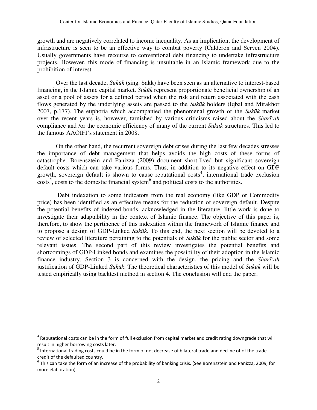growth and are negatively correlated to income inequality. As an implication, the development of infrastructure is seen to be an effective way to combat poverty (Calderon and Serven 2004). Usually governments have recourse to conventional debt financing to undertake infrastructure projects. However, this mode of financing is unsuitable in an Islamic framework due to the prohibition of interest.

Over the last decade, *Sukūk* (sing. Sakk) have been seen as an alternative to interest-based financing, in the Islamic capital market. *Sukūk* represent proportionate beneficial ownership of an asset or a pool of assets for a defined period when the risk and return associated with the cash flows generated by the underlying assets are passed to the *Sukūk* holders (Iqbal and Mirakhor 2007, p.177). The euphoria which accompanied the phenomenal growth of the *Sukūk* market over the recent years is, however, tarnished by various criticisms raised about the *Sharī'ah* compliance and /or the economic efficiency of many of the current *Sukūk* structures. This led to the famous AAOIFI"s statement in 2008.

On the other hand, the recurrent sovereign debt crises during the last few decades stresses the importance of debt management that helps avoids the high costs of these forms of catastrophe. Borensztein and Panizza (2009) document short-lived but significant sovereign default costs which can take various forms. Thus, in addition to its negative effect on GDP growth, sovereign default is shown to cause reputational costs<sup>4</sup>, international trade exclusion  $\cos$ , costs to the domestic financial system<sup>6</sup> and political costs to the authorities.

 Debt indexation to some indicators from the real economy (like GDP or Commodity price) has been identified as an effective means for the reduction of sovereign default. Despite the potential benefits of indexed-bonds, acknowledged in the literature, little work is done to investigate their adaptability in the context of Islamic finance. The objective of this paper is, therefore, to show the pertinence of this indexation within the framework of Islamic finance and to propose a design of GDP-Linked *Sukūk*. To this end, the next section will be devoted to a review of selected literature pertaining to the potentials of *Sukūk* for the public sector and some relevant issues. The second part of this review investigates the potential benefits and shortcomings of GDP-Linked bonds and examines the possibility of their adoption in the Islamic finance industry. Section 3 is concerned with the design, the pricing and the *Sharī'ah* justification of GDP-Linked *Sukūk*. The theoretical characteristics of this model of *Sukūk* will be tested empirically using backtest method in section 4. The conclusion will end the paper.

 $\overline{a}$ 

<sup>&</sup>lt;sup>4</sup> Reputational costs can be in the form of full exclusion from capital market and credit rating downgrade that will result in higher borrowing costs later.

<sup>&</sup>lt;sup>5</sup> International trading costs could be in the form of net decrease of bilateral trade and decline of of the trade credit of the defaulted country.

 $^6$  This can take the form of an increase of the probability of banking crisis. (See Borensztein and Panizza, 2009, for more elaboration).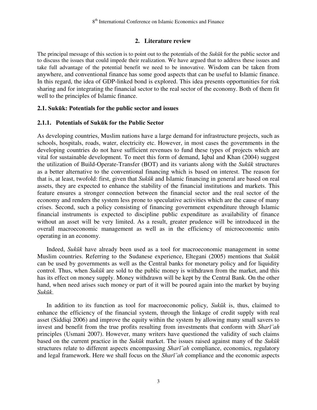#### **2. Literature review**

The principal message of this section is to point out to the potentials of the *Sukūk* for the public sector and to discuss the issues that could impede their realization. We have argued that to address these issues and take full advantage of the potential benefit we need to be innovative. Wisdom can be taken from anywhere, and conventional finance has some good aspects that can be useful to Islamic finance. In this regard, the idea of GDP-linked bond is explored. This idea presents opportunities for risk sharing and for integrating the financial sector to the real sector of the economy. Both of them fit well to the principles of Islamic finance.

## **2.1. Sukūk: Potentials for the public sector and issues**

#### **2.1.1. Potentials of Sukūk for the Public Sector**

As developing countries, Muslim nations have a large demand for infrastructure projects, such as schools, hospitals, roads, water, electricity etc. However, in most cases the governments in the developing countries do not have sufficient revenues to fund these types of projects which are vital for sustainable development. To meet this form of demand, Iqbal and Khan (2004) suggest the utilization of Build-Operate-Transfer (BOT) and its variants along with the *Sukūk* structures as a better alternative to the conventional financing which is based on interest. The reason for that is, at least, twofold: first, given that *Sukūk* and Islamic financing in general are based on real assets, they are expected to enhance the stability of the financial institutions and markets. This feature ensures a stronger connection between the financial sector and the real sector of the economy and renders the system less prone to speculative activities which are the cause of many crises. Second, such a policy consisting of financing government expenditure through Islamic financial instruments is expected to discipline public expenditure as availability of finance without an asset will be very limited. As a result, greater prudence will be introduced in the overall macroeconomic management as well as in the efficiency of microeconomic units operating in an economy.

Indeed, *Sukūk* have already been used as a tool for macroeconomic management in some Muslim countries. Referring to the Sudanese experience, Eltegani (2005) mentions that *Sukūk* can be used by governments as well as the Central banks for monetary policy and for liquidity control. Thus, when *Sukūk* are sold to the public money is withdrawn from the market, and this has its effect on money supply. Money withdrawn will be kept by the Central Bank. On the other hand, when need arises such money or part of it will be poured again into the market by buying *Sukūk*.

In addition to its function as tool for macroeconomic policy, *Sukūk* is, thus, claimed to enhance the efficiency of the financial system, through the linkage of credit supply with real asset (Siddiqi 2006) and improve the equity within the system by allowing many small savers to invest and benefit from the true profits resulting from investments that conform with *Sharī'ah* principles (Usmani 2007). However, many writers have questioned the validity of such claims based on the current practice in the *Sukūk* market. The issues raised against many of the *Sukūk* structures relate to different aspects encompassing *Sharī'ah* compliance, economics, regulatory and legal framework. Here we shall focus on the *Sharī'ah* compliance and the economic aspects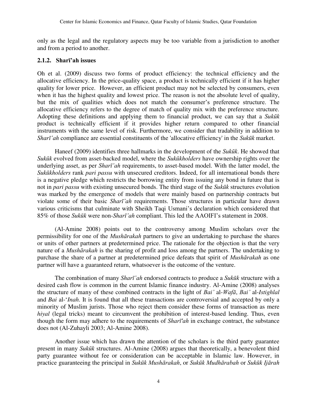only as the legal and the regulatory aspects may be too variable from a jurisdiction to another and from a period to another.

## **2.1.2. Sharī'ah issues**

Oh et al. (2009) discuss two forms of product efficiency: the technical efficiency and the allocative efficiency. In the price-quality space, a product is technically efficient if it has higher quality for lower price. However, an efficient product may not be selected by consumers, even when it has the highest quality and lowest price. The reason is not the absolute level of quality, but the mix of qualities which does not match the consumer"s preference structure. The allocative efficiency refers to the degree of match of quality mix with the preference structure. Adopting these definitions and applying them to financial product, we can say that a *Sukūk* product is technically efficient if it provides higher return compared to other financial instruments with the same level of risk. Furthermore, we consider that tradability in addition to *Sharī'ah* compliance are essential constituents of the 'allocative efficiency' in the *Sukūk* market.

Haneef (2009) identifies three hallmarks in the development of the *Sukūk*. He showed that *Sukūk* evolved from asset-backed model, where the *Sukūkholders* have ownership rights over the underlying asset, as per *Sharī'ah* requirements, to asset-based model. With the latter model, the *Sukūkholders* rank *pari passu* with unsecured creditors. Indeed, for all international bonds there is a negative pledge which restricts the borrowing entity from issuing any bond in future that is not in *pari passu* with existing unsecured bonds. The third stage of the *Sukūk* structures evolution was marked by the emergence of models that were mainly based on partnership contracts but violate some of their basic *Sharī'ah* requirements. Those structures in particular have drawn various criticisms that culminate with Sheikh Taqi Usmani"s declaration which considered that 85% of those *Sukūk* were non-*Sharī'ah* compliant. This led the AAOIFI"s statement in 2008.

(Al-Amine 2008) points out to the controversy among Muslim scholars over the permissibility for one of the *Mushārakah* partners to give an undertaking to purchase the shares or units of other partners at predetermined price. The rationale for the objection is that the very nature of a *Mushārakah* is the sharing of profit and loss among the partners. The undertaking to purchase the share of a partner at predetermined price defeats that spirit of *Mushārakah* as one partner will have a guaranteed return, whatsoever is the outcome of the venture.

The combination of many *Sharī'ah* endorsed contracts to produce a *Sukūk* structure with a desired cash flow is common in the current Islamic finance industry. Al-Amine (2008) analyses the structure of many of these combined contracts in the light of *Bai'* al-*Wafā*, *Bai'* al-*Istighlal* and *Bai* al-"*Inah*. It is found that all these transactions are controversial and accepted by only a minority of Muslim jurists. Those who reject them consider these forms of transaction as mere *hiyal* (legal tricks) meant to circumvent the prohibition of interest-based lending. Thus, even though the form may adhere to the requirements of *Sharī'ah* in exchange contract, the substance does not (Al-Zuhayli 2003; Al-Amine 2008).

Another issue which has drawn the attention of the scholars is the third party guarantee present in many *Sukūk* structures. Al-Amine (2008) argues that theoretically, a benevolent third party guarantee without fee or consideration can be acceptable in Islamic law. However, in practice guaranteeing the principal in *Sukūk Mushārakah*, or *Sukūk Mudhārabah* or *Sukūk Ijārah*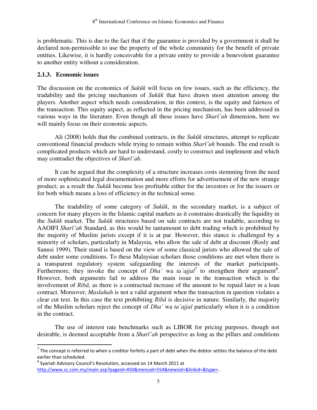is problematic. This is due to the fact that if the guarantee is provided by a government it shall be declared non-permissible to use the property of the whole community for the benefit of private entities. Likewise, it is hardly conceivable for a private entity to provide a benevolent guarantee to another entity without a consideration.

## **2.1.3. Economic issues**

 $\overline{a}$ 

The discussion on the economics of *Sukūk* will focus on few issues, such as the efficiency, the tradability and the pricing mechanism of *Sukūk* that have drawn most attention among the players. Another aspect which needs consideration, in this context, is the equity and fairness of the transaction. This equity aspect, as reflected in the pricing mechanism, has been addressed in various ways in the literature. Even though all these issues have *Sharī'ah* dimension, here we will mainly focus on their economic aspects.

Ali (2008) holds that the combined contracts, in the *Sukūk* structures, attempt to replicate conventional financial products while trying to remain within *Sharī'ah* bounds. The end result is complicated products which are hard to understand, costly to construct and implement and which may contradict the objectives of *Sharī'ah*.

It can be argued that the complexity of a structure increases costs stemming from the need of more sophisticated legal documentation and more efforts for advertisement of the new strange product; as a result the *Sukūk* become less profitable either for the investors or for the issuers or for both which means a loss of efficiency in the technical sense.

The tradability of some category of *Sukūk*, in the secondary market, is a subject of concern for many players in the Islamic capital markets as it constrains drastically the liquidity in the *Sukūk* market. The *Sukūk* structures based on sale contracts are not tradable, according to AAOIFI *Sharī'ah* Standard, as this would be tantamount to debt trading which is prohibited by the majority of Muslim jurists except if it is at par. However, this stance is challenged by a minority of scholars, particularly in Malaysia, who allow the sale of debt at discount (Rosly and Sanusi 1999). Their stand is based on the view of some classical jurists who allowed the sale of debt under some conditions. To these Malaysian scholars those conditions are met when there is a transparent regulatory system safeguarding the interests of the market participants. Furthermore, they invoke the concept of *Dha'* wa *ta'ajjal*<sup>7</sup> to strengthen their argument<sup>8</sup>. However, both arguments fail to address the main issue in the transaction which is the involvement of *Ribā,* as there is a contractual increase of the amount to be repaid later in a loan contract. Moreover, *Maslahah* is not a valid argument when the transaction in question violates a clear cut text. In this case the text prohibiting *Ribā* is decisive in nature. Similarly, the majority of the Muslim scholars reject the concept of *Dha'* wa *ta'ajjal* particularly when it is a condition in the contract.

The use of interest rate benchmarks such as LIBOR for pricing purposes, though not desirable, is deemed acceptable from a *Sharī'ah* perspective as long as the pillars and conditions

<sup>&</sup>lt;sup>7</sup> The concept is referred to when a creditor forfeits a part of debt when the debtor settles the balance of the debt earlier than scheduled.

 $^8$  Syariah Advisory Council's Resolution, accessed on 14 March 2011 at [http://www.sc.com.my/main.asp?pageid=450&menuid=554&newsid=&linkid=&type=.](http://www.sc.com.my/main.asp?pageid=450&menuid=554&newsid=&linkid=&type=)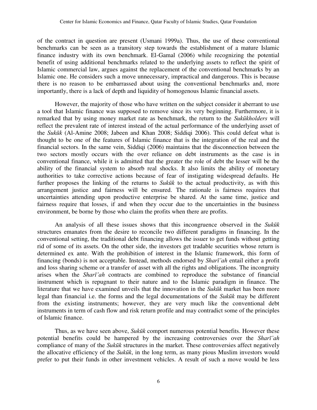of the contract in question are present (Usmani 1999a). Thus, the use of these conventional benchmarks can be seen as a transitory step towards the establishment of a mature Islamic finance industry with its own benchmark. El-Gamal (2006) while recognizing the potential benefit of using additional benchmarks related to the underlying assets to reflect the spirit of Islamic commercial law, argues against the replacement of the conventional benchmarks by an Islamic one. He considers such a move unnecessary, impractical and dangerous. This is because there is no reason to be embarrassed about using the conventional benchmarks and, more importantly, there is a lack of depth and liquidity of homogenous Islamic financial assets.

However, the majority of those who have written on the subject consider it aberrant to use a tool that Islamic finance was supposed to remove since its very beginning. Furthermore, it is remarked that by using money market rate as benchmark, the return to the *Sukūkholders* will reflect the prevalent rate of interest instead of the actual performance of the underlying asset of the *Sukūk* (Al-Amine 2008; Jabeen and Khan 2008; Siddiqi 2006). This could defeat what is thought to be one of the features of Islamic finance that is the integration of the real and the financial sectors. In the same vein, Siddiqi (2006) maintains that the disconnection between the two sectors mostly occurs with the over reliance on debt instruments as the case is in conventional finance, while it is admitted that the greater the role of debt the lesser will be the ability of the financial system to absorb real shocks. It also limits the ability of monetary authorities to take corrective actions because of fear of instigating widespread defaults. He further proposes the linking of the returns to *Sukūk* to the actual productivity, as with this arrangement justice and fairness will be ensured. The rationale is fairness requires that uncertainties attending upon productive enterprise be shared. At the same time, justice and fairness require that losses, if and when they occur due to the uncertainties in the business environment, be borne by those who claim the profits when there are profits.

An analysis of all these issues shows that this incongruence observed in the *Sukūk* structures emanates from the desire to reconcile two different paradigms in financing. In the conventional setting, the traditional debt financing allows the issuer to get funds without getting rid of some of its assets. On the other side, the investors get tradable securities whose return is determined ex ante. With the prohibition of interest in the Islamic framework, this form of financing (bonds) is not acceptable. Instead, methods endorsed by *Sharī'ah* entail either a profit and loss sharing scheme or a transfer of asset with all the rights and obligations. The incongruity arises when the *Sharī'ah* contracts are combined to reproduce the substance of financial instrument which is repugnant to their nature and to the Islamic paradigm in finance. The literature that we have examined unveils that the innovation in the *Sukūk* market has been more legal than financial i.e. the forms and the legal documentations of the *Sukūk* may be different from the existing instruments; however, they are very much like the conventional debt instruments in term of cash flow and risk return profile and may contradict some of the principles of Islamic finance.

Thus, as we have seen above, *Sukūk* comport numerous potential benefits. However these potential benefits could be hampered by the increasing controversies over the *Sharī'ah* compliance of many of the *Sukūk* structures in the market. These controversies affect negatively the allocative efficiency of the *Sukūk*, in the long term, as many pious Muslim investors would prefer to put their funds in other investment vehicles. A result of such a move would be less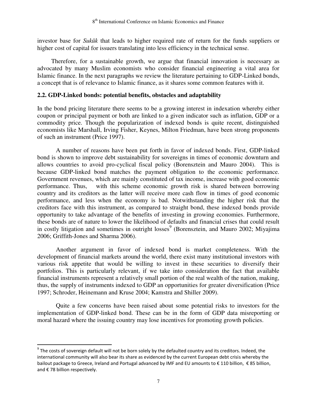investor base for *Sukūk* that leads to higher required rate of return for the funds suppliers or higher cost of capital for issuers translating into less efficiency in the technical sense.

Therefore, for a sustainable growth, we argue that financial innovation is necessary as advocated by many Muslim economists who consider financial engineering a vital area for Islamic finance. In the next paragraphs we review the literature pertaining to GDP-Linked bonds, a concept that is of relevance to Islamic finance, as it shares some common features with it.

## **2.2. GDP-Linked bonds: potential benefits, obstacles and adaptability**

In the bond pricing literature there seems to be a growing interest in indexation whereby either coupon or principal payment or both are linked to a given indicator such as inflation, GDP or a commodity price. Though the popularization of indexed bonds is quite recent, distinguished economists like Marshall, Irving Fisher, Keynes, Milton Friedman, have been strong proponents of such an instrument (Price 1997).

A number of reasons have been put forth in favor of indexed bonds. First, GDP-linked bond is shown to improve debt sustainability for sovereigns in times of economic downturn and allows countries to avoid pro-cyclical fiscal policy (Borensztein and Mauro 2004). This is because GDP-linked bond matches the payment obligation to the economic performance. Government revenues, which are mainly constituted of tax income, increase with good economic performance. Thus, with this scheme economic growth risk is shared between borrowing country and its creditors as the latter will receive more cash flow in times of good economic performance, and less when the economy is bad. Notwithstanding the higher risk that the creditors face with this instrument, as compared to straight bond, these indexed bonds provide opportunity to take advantage of the benefits of investing in growing economies. Furthermore, these bonds are of nature to lower the likelihood of defaults and financial crises that could result in costly litigation and sometimes in outright losses<sup>9</sup> (Borensztein, and Mauro 2002; Miyajima 2006; Griffith-Jones and Sharma 2006).

Another argument in favor of indexed bond is market completeness. With the development of financial markets around the world, there exist many institutional investors with various risk appetite that would be willing to invest in these securities to diversify their portfolios. This is particularly relevant, if we take into consideration the fact that available financial instruments represent a relatively small portion of the real wealth of the nation, making, thus, the supply of instruments indexed to GDP an opportunities for greater diversification (Price 1997; Schroder, Heinemann and Kruse 2004; Kamstra and Shiller 2009).

Quite a few concerns have been raised about some potential risks to investors for the implementation of GDP-linked bond. These can be in the form of GDP data misreporting or moral hazard where the issuing country may lose incentives for promoting growth policies.

 $\overline{a}$ 

 $^9$  The costs of sovereign default will not be born solely by the defaulted country and its creditors. Indeed, the international community will also bear its share as evidenced by the current European debt crisis whereby the bailout package to Greece, Ireland and Portugal advanced by IMF and EU amounts to € 110 billion, € 85 billion, and € 78 billion respectively.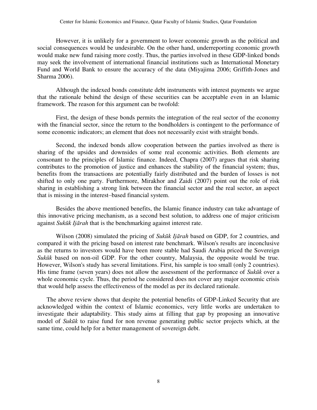However, it is unlikely for a government to lower economic growth as the political and social consequences would be undesirable. On the other hand, underreporting economic growth would make new fund raising more costly. Thus, the parties involved in these GDP-linked bonds may seek the involvement of international financial institutions such as International Monetary Fund and World Bank to ensure the accuracy of the data (Miyajima 2006; Griffith-Jones and Sharma 2006).

Although the indexed bonds constitute debt instruments with interest payments we argue that the rationale behind the design of these securities can be acceptable even in an Islamic framework. The reason for this argument can be twofold:

First, the design of these bonds permits the integration of the real sector of the economy with the financial sector, since the return to the bondholders is contingent to the performance of some economic indicators; an element that does not necessarily exist with straight bonds.

Second, the indexed bonds allow cooperation between the parties involved as there is sharing of the upsides and downsides of some real economic activities. Both elements are consonant to the principles of Islamic finance. Indeed, Chapra (2007) argues that risk sharing contributes to the promotion of justice and enhances the stability of the financial system; thus, benefits from the transactions are potentially fairly distributed and the burden of losses is not shifted to only one party. Furthermore, Mirakhor and Zaidi (2007) point out the role of risk sharing in establishing a strong link between the financial sector and the real sector, an aspect that is missing in the interest–based financial system.

Besides the above mentioned benefits, the Islamic finance industry can take advantage of this innovative pricing mechanism, as a second best solution, to address one of major criticism against *Sukūk Ijārah* that is the benchmarking against interest rate.

Wilson (2008) simulated the pricing of *Sukūk Ijārah* based on GDP, for 2 countries, and compared it with the pricing based on interest rate benchmark. Wilson's results are inconclusive as the returns to investors would have been more stable had Saudi Arabia priced the Sovereign *Sukūk* based on non-oil GDP. For the other country, Malaysia, the opposite would be true. However, Wilson's study has several limitations. First, his sample is too small (only 2 countries). His time frame (seven years) does not allow the assessment of the performance of *Sukūk* over a whole economic cycle. Thus, the period he considered does not cover any major economic crisis that would help assess the effectiveness of the model as per its declared rationale.

The above review shows that despite the potential benefits of GDP-Linked Security that are acknowledged within the context of Islamic economics, very little works are undertaken to investigate their adaptability. This study aims at filling that gap by proposing an innovative model of *Sukūk* to raise fund for non revenue generating public sector projects which, at the same time, could help for a better management of sovereign debt.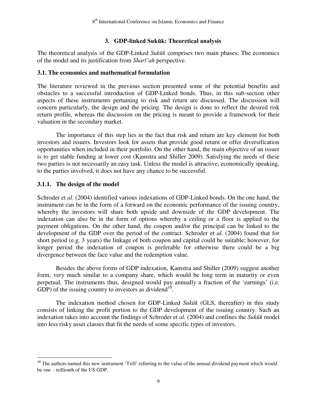## **3. GDP-linked Sukūk: Theoretical analysis**

The theoretical analysis of the GDP-Linked *Sukūk* comprises two main phases: The economics of the model and its justification from *Sharī'ah* perspective.

## **3.1. The economics and mathematical formulation**

The literature reviewed in the previous section presented some of the potential benefits and obstacles to a successful introduction of GDP-Linked bonds. Thus, in this sub-section other aspects of these instruments pertaining to risk and return are discussed. The discussion will concern particularly, the design and the pricing. The design is done to reflect the desired risk return profile, whereas the discussion on the pricing is meant to provide a framework for their valuation in the secondary market.

 The importance of this step lies in the fact that risk and return are key element for both investors and issuers. Investors look for assets that provide good return or offer diversification opportunities when included in their portfolio. On the other hand, the main objective of an issuer is to get stable funding at lower cost (Kamstra and Shiller 2009). Satisfying the needs of these two parties is not necessarily an easy task. Unless the model is attractive, economically speaking, to the parties involved, it does not have any chance to be successful.

## **3.1.1. The design of the model**

 $\overline{\phantom{0}}$ 

Schroder et *al.* (2004) identified various indexations of GDP-Linked bonds. On the one hand, the instrument can be in the form of a forward on the economic performance of the issuing country, whereby the investors will share both upside and downside of the GDP development. The indexation can also be in the form of options whereby a ceiling or a floor is applied to the payment obligations. On the other hand, the coupon and/or the principal can be linked to the development of the GDP over the period of the contract. Schroder et *al.* (2004) found that for short period (e.g. 3 years) the linkage of both coupon and capital could be suitable; however, for longer period the indexation of coupon is preferable for otherwise there could be a big divergence between the face value and the redemption value.

Besides the above forms of GDP indexation, Kamstra and Shiller (2009) suggest another form, very much similar to a company share, which would be long term in maturity or even perpetual. The instruments thus, designed would pay annually a fraction of the "earnings" (i.e. GDP) of the issuing country to investors as dividend<sup>10</sup>.

The indexation method chosen for GDP-Linked *Sukūk* (GLS, thereafter) in this study consists of linking the profit portion to the GDP development of the issuing country. Such an indexation takes into account the findings of Schroder et *al.* (2004) and confines the *Sukūk* model into less risky asset classes that fit the needs of some specific types of investors.

<sup>&</sup>lt;sup>10</sup> The authors named this new instrument 'Trill' referring to the value of the annual dividend payment which would be one – trillionth of the US GDP.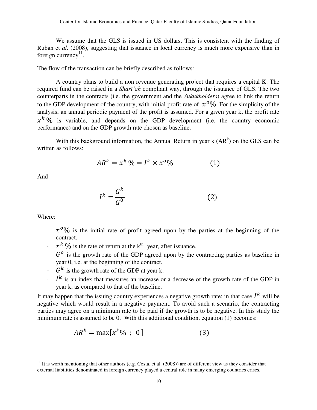We assume that the GLS is issued in US dollars. This is consistent with the finding of Ruban et *al.* (2008), suggesting that issuance in local currency is much more expensive than in foreign currency<sup>11</sup>.

The flow of the transaction can be briefly described as follows:

A country plans to build a non revenue generating project that requires a capital K. The required fund can be raised in a *Sharī'ah* compliant way, through the issuance of GLS. The two counterparts in the contracts (i.e. the government and the *Sukukholders*) agree to link the return to the GDP development of the country, with initial profit rate of  $x^0$ %. For the simplicity of the analysis, an annual periodic payment of the profit is assumed. For a given year k, the profit rate  $x^k$ % is variable, and depends on the GDP development (i.e. the country economic performance) and on the GDP growth rate chosen as baseline.

With this background information, the Annual Return in year  $k$  (AR<sup>k</sup>) on the GLS can be written as follows:

$$
AR^k = x^k \mathcal{V}_0 = I^k \times x^0 \mathcal{V}_0 \tag{1}
$$

And

$$
I^k = \frac{G^k}{G^0} \tag{2}
$$

Where:

l

- $\sim x^{0}\%$  is the initial rate of profit agreed upon by the parties at the beginning of the contract.
- $\int x^k \, \mathcal{Y}_0$  is the rate of return at the k<sup>th</sup> year, after issuance.
- $\sim$   $G^{\circ}$  is the growth rate of the GDP agreed upon by the contracting parties as baseline in year 0, i.e. at the beginning of the contract.
- $\cdot$   $G^k$  is the growth rate of the GDP at year k.
- $I^k$  is an index that measures an increase or a decrease of the growth rate of the GDP in year k, as compared to that of the baseline.

It may happen that the issuing country experiences a negative growth rate; in that case  $I^k$  will be negative which would result in a negative payment. To avoid such a scenario, the contracting parties may agree on a minimum rate to be paid if the growth is to be negative. In this study the minimum rate is assumed to be 0. With this additional condition, equation (1) becomes:

$$
AR^k = \max[x^k\% \; ; \; 0]
$$
 (3)

<sup>&</sup>lt;sup>11</sup> It is worth mentioning that other authors (e.g. Costa, et al.  $(2008)$ ) are of different view as they consider that external liabilities denominated in foreign currency played a central role in many emerging countries crises.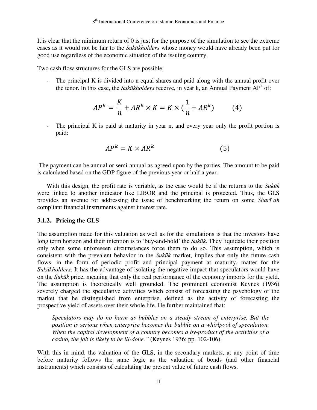It is clear that the minimum return of 0 is just for the purpose of the simulation to see the extreme cases as it would not be fair to the *Sukūkholders* whose money would have already been put for good use regardless of the economic situation of the issuing country.

Two cash flow structures for the GLS are possible:

The principal K is divided into n equal shares and paid along with the annual profit over the tenor. In this case, the *Sukūkholders* receive, in year k, an Annual Payment AP<sup>k</sup> of:

$$
AP^{k} = \frac{K}{n} + AR^{k} \times K = K \times \left(\frac{1}{n} + AR^{k}\right) \tag{4}
$$

The principal K is paid at maturity in year n, and every year only the profit portion is paid:

$$
AP^k = K \times AR^k \tag{5}
$$

 The payment can be annual or semi-annual as agreed upon by the parties. The amount to be paid is calculated based on the GDP figure of the previous year or half a year.

With this design, the profit rate is variable, as the case would be if the returns to the *Sukūk* were linked to another indicator like LIBOR and the principal is protected. Thus, the GLS provides an avenue for addressing the issue of benchmarking the return on some *Sharī'ah* compliant financial instruments against interest rate.

## **3.1.2. Pricing th**e **GLS**

The assumption made for this valuation as well as for the simulations is that the investors have long term horizon and their intention is to 'buy-and-hold' the *Sukūk*. They liquidate their position only when some unforeseen circumstances force them to do so. This assumption, which is consistent with the prevalent behavior in the *Sukūk* market, implies that only the future cash flows, in the form of periodic profit and principal payment at maturity, matter for the *Sukūkholders*. It has the advantage of isolating the negative impact that speculators would have on the *Sukūk* price, meaning that only the real performance of the economy imports for the yield. The assumption is theoretically well grounded. The prominent economist Keynes (1936) severely charged the speculative activities which consist of forecasting the psychology of the market that he distinguished from enterprise, defined as the activity of forecasting the prospective yield of assets over their whole life. He further maintained that:

*Speculators may do no harm as bubbles on a steady stream of enterprise. But the position is serious when enterprise becomes the bubble on a whirlpool of speculation. When the capital development of a country becomes a by-product of the activities of a casino, the job is likely to be ill-done."* (Keynes 1936; pp. 102-106).

With this in mind, the valuation of the GLS, in the secondary markets, at any point of time before maturity follows the same logic as the valuation of bonds (and other financial instruments) which consists of calculating the present value of future cash flows.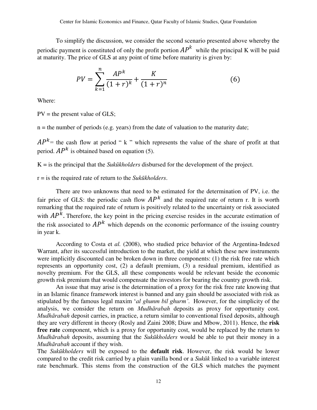To simplify the discussion, we consider the second scenario presented above whereby the periodic payment is constituted of only the profit portion  $AP^{\wedge}$  while the principal K will be paid at maturity. The price of GLS at any point of time before maturity is given by:

$$
PV = \sum_{k=1}^{n} \frac{AP^k}{(1+r)^k} + \frac{K}{(1+r)^n}
$$
(6)

Where:

 $PV =$  the present value of GLS;

 $n =$  the number of periods (e.g. years) from the date of valuation to the maturity date;

 $AP^{\kappa}$  = the cash flow at period " k " which represents the value of the share of profit at that period.  $AP^k$  is obtained based on equation (5).

K = is the principal that the *Sukūkholders* disbursed for the development of the project.

r = is the required rate of return to the *Sukūkholders*.

There are two unknowns that need to be estimated for the determination of PV, i.e. the fair price of GLS: the periodic cash flow  $AP<sup>K</sup>$  and the required rate of return r. It is worth remarking that the required rate of return is positively related to the uncertainty or risk associated with  $AP^{\kappa}$ . Therefore, the key point in the pricing exercise resides in the accurate estimation of the risk associated to  $AP^k$  which depends on the economic performance of the issuing country in year k.

According to Costa et *al.* (2008), who studied price behavior of the Argentina-Indexed Warrant, after its successful introduction to the market, the yield at which these new instruments were implicitly discounted can be broken down in three components: (1) the risk free rate which represents an opportunity cost, (2) a default premium, (3) a residual premium, identified as novelty premium. For the GLS, all these components would be relevant beside the economic growth risk premium that would compensate the investors for bearing the country growth risk.

An issue that may arise is the determination of a proxy for the risk free rate knowing that in an Islamic finance framework interest is banned and any gain should be associated with risk as stipulated by the famous legal maxim "*al ghunm bil ghurm'*. However, for the simplicity of the analysis, we consider the return on *Mudhārabah* deposits as proxy for opportunity cost. *Mudhārabah* deposit carries, in practice, a return similar to conventional fixed deposits, although they are very different in theory (Rosly and Zaini 2008; Diaw and Mbow, 2011). Hence, the **risk free rate** component, which is a proxy for opportunity cost, would be replaced by the return to *Mudhārabah* deposits, assuming that the *Sukūkholders* would be able to put their money in a *Mudhārabah* account if they wish.

The *Sukūkholders* will be exposed to the **default risk**. However, the risk would be lower compared to the credit risk carried by a plain vanilla bond or a *Sukūk* linked to a variable interest rate benchmark. This stems from the construction of the GLS which matches the payment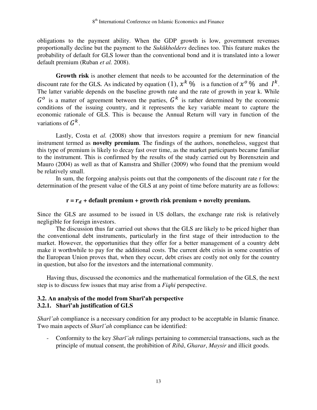obligations to the payment ability. When the GDP growth is low, government revenues proportionally decline but the payment to the *Sukūkholders* declines too. This feature makes the probability of default for GLS lower than the conventional bond and it is translated into a lower default premium (Ruban *et al.* 2008).

**Growth risk** is another element that needs to be accounted for the determination of the discount rate for the GLS. As indicated by equation (1),  $x^k$  % is a function of  $x^0$  % and  $I^k$ . The latter variable depends on the baseline growth rate and the rate of growth in year k. While  $G^o$  is a matter of agreement between the parties,  $G^k$  is rather determined by the economic conditions of the issuing country, and it represents the key variable meant to capture the economic rationale of GLS. This is because the Annual Return will vary in function of the variations of  $G^k$ .

Lastly, Costa et *al.* (2008) show that investors require a premium for new financial instrument termed as **novelty premium**. The findings of the authors, nonetheless, suggest that this type of premium is likely to decay fast over time, as the market participants became familiar to the instrument. This is confirmed by the results of the study carried out by Borensztein and Mauro (2004) as well as that of Kamstra and Shiller (2009) who found that the premium would be relatively small.

In sum, the forgoing analysis points out that the components of the discount rate r for the determination of the present value of the GLS at any point of time before maturity are as follows:

## $r = r_d +$  default premium + growth risk premium + novelty premium.

Since the GLS are assumed to be issued in US dollars, the exchange rate risk is relatively negligible for foreign investors.

The discussion thus far carried out shows that the GLS are likely to be priced higher than the conventional debt instruments, particularly in the first stage of their introduction to the market. However, the opportunities that they offer for a better management of a country debt make it worthwhile to pay for the additional costs. The current debt crisis in some countries of the European Union proves that, when they occur, debt crises are costly not only for the country in question, but also for the investors and the international community.

Having thus, discussed the economics and the mathematical formulation of the GLS, the next step is to discuss few issues that may arise from a *Fiqhi* perspective.

#### **3.2. An analysis of the model from Sharī'ah perspective 3.2.1. Sharī'ah justification of GLS**

*Sharī'ah* compliance is a necessary condition for any product to be acceptable in Islamic finance. Two main aspects of *Sharī'ah* compliance can be identified:

- Conformity to the key *Sharī'ah* rulings pertaining to commercial transactions, such as the principle of mutual consent, the prohibition of *Ribā*, *Gharar*, *Maysir* and illicit goods.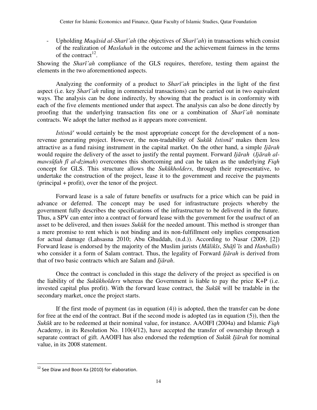- Upholding *Maqāsid al*-*Sharī'ah* (the objectives of *Sharī'ah*) in transactions which consist of the realization of *Maslahah* in the outcome and the achievement fairness in the terms of the contract<sup>12</sup>.

Showing the *Sharī'ah* compliance of the GLS requires, therefore, testing them against the elements in the two aforementioned aspects.

Analyzing the conformity of a product to *Sharī'ah* principles in the light of the first aspect (i.e. key *Sharī'ah* ruling in commercial transactions) can be carried out in two equivalent ways. The analysis can be done indirectly, by showing that the product is in conformity with each of the five elements mentioned under that aspect. The analysis can also be done directly by proofing that the underlying transaction fits one or a combination of *Sharī'ah* nominate contracts. We adopt the latter method as it appears more convenient.

*Istisnā'* would certainly be the most appropriate concept for the development of a nonrevenue generating project. However, the non-tradability of *Sukūk Istisnā'* makes them less attractive as a fund raising instrument in the capital market. On the other hand, a simple *Ijārah* would require the delivery of the asset to justify the rental payment. Forward *Ijārah* (*Ijārah almawsūfah fī al*-*dzimah*) overcomes this shortcoming and can be taken as the underlying *Fiqh* concept for GLS. This structure allows the *Sukūkholders*, through their representative, to undertake the construction of the project, lease it to the government and receive the payments (principal + profit), over the tenor of the project.

Forward lease is a sale of future benefits or usufructs for a price which can be paid in advance or deferred. The concept may be used for infrastructure projects whereby the government fully describes the specifications of the infrastructure to be delivered in the future. Thus, a SPV can enter into a contract of forward lease with the government for the usufruct of an asset to be delivered, and then issues *Sukūk* for the needed amount. This method is stronger than a mere promise to rent which is not binding and its non-fulfillment only implies compensation for actual damage (Lahsasna 2010; Abu Ghuddah, (n.d.)). According to Nasar (2009, [2]) Forward lease is endorsed by the majority of the Muslim jurists (*Mālikīs*, *Shāfi'īs* and *Hanbalīs*) who consider it a form of Salam contract. Thus, the legality of Forward *Ijārah* is derived from that of two basic contracts which are Salam and *Ijārah*.

Once the contract is concluded in this stage the delivery of the project as specified is on the liability of the *Sukūkholders* whereas the Government is liable to pay the price K+P (i.e. invested capital plus profit). With the forward lease contract, the *Sukūk* will be tradable in the secondary market, once the project starts.

If the first mode of payment (as in equation (4)) is adopted, then the transfer can be done for free at the end of the contract. But if the second mode is adopted (as in equation (5)), then the *Sukūk* are to be redeemed at their nominal value, for instance. AAOIFI (2004a) and Islamic *Fiqh* Academy, in its Resolution No. 110(4/12), have accepted the transfer of ownership through a separate contract of gift. AAOIFI has also endorsed the redemption of *Sukūk Ijārah* for nominal value, in its 2008 statement.

l

 $12$  See Diaw and Boon Ka (2010) for elaboration.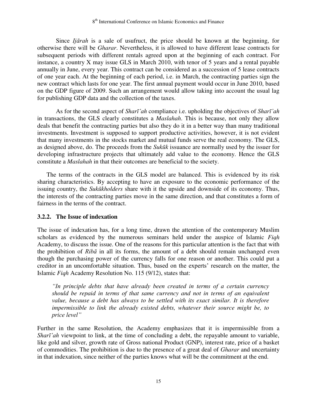Since *Ijārah* is a sale of usufruct, the price should be known at the beginning, for otherwise there will be *Gharar*. Nevertheless, it is allowed to have different lease contracts for subsequent periods with different rentals agreed upon at the beginning of each contract. For instance, a country X may issue GLS in March 2010, with tenor of 5 years and a rental payable annually in June, every year. This contract can be considered as a succession of 5 lease contracts of one year each. At the beginning of each period, i.e. in March, the contracting parties sign the new contract which lasts for one year. The first annual payment would occur in June 2010, based on the GDP figure of 2009. Such an arrangement would allow taking into account the usual lag for publishing GDP data and the collection of the taxes.

As for the second aspect of *Sharī'ah* compliance i.e. upholding the objectives of *Sharī'ah* in transactions, the GLS clearly constitutes a *Maslahah*. This is because, not only they allow deals that benefit the contracting parties but also they do it in a better way than many traditional investments. Investment is supposed to support productive activities, however, it is not evident that many investments in the stocks market and mutual funds serve the real economy. The GLS, as designed above, do. The proceeds from the *Sukūk* issuance are normally used by the issuer for developing infrastructure projects that ultimately add value to the economy. Hence the GLS constitute a *Maslahah* in that their outcomes are beneficial to the society.

The terms of the contracts in the GLS model are balanced. This is evidenced by its risk sharing characteristics. By accepting to have an exposure to the economic performance of the issuing country, the *Sukūkholders* share with it the upside and downside of its economy. Thus, the interests of the contracting parties move in the same direction, and that constitutes a form of fairness in the terms of the contract.

## **3.2.2. The Issue of indexation**

The issue of indexation has, for a long time, drawn the attention of the contemporary Muslim scholars as evidenced by the numerous seminars held under the auspice of Islamic *Fiqh* Academy, to discuss the issue. One of the reasons for this particular attention is the fact that with the prohibition of *Ribā* in all its forms, the amount of a debt should remain unchanged even though the purchasing power of the currency falls for one reason or another. This could put a creditor in an uncomfortable situation. Thus, based on the experts' research on the matter, the Islamic *Fiqh* Academy Resolution No. 115 (9/12), states that:

*"In principle debts that have already been created in terms of a certain currency should be repaid in terms of that same currency and not in terms of an equivalent value, because a debt has always to be settled with its exact similar. It is therefore impermissible to link the already existed debts, whatever their source might be, to price level"*

Further in the same Resolution, the Academy emphasizes that it is impermissible from a *Sharī'ah* viewpoint to link, at the time of concluding a debt, the repayable amount to variable, like gold and silver, growth rate of Gross national Product (GNP), interest rate, price of a basket of commodities. The prohibition is due to the presence of a great deal of *Gharar* and uncertainty in that indexation, since neither of the parties knows what will be the commitment at the end.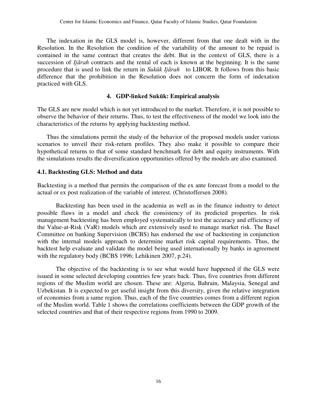The indexation in the GLS model is, however, different from that one dealt with in the Resolution. In the Resolution the condition of the variability of the amount to be repaid is contained in the same contract that creates the debt. But in the context of GLS, there is a succession of *Ijārah* contracts and the rental of each is known at the beginning. It is the same procedure that is used to link the return in *Sukūk Ijārah* to LIBOR. It follows from this basic difference that the prohibition in the Resolution does not concern the form of indexation practiced with GLS.

## **4. GDP-linked Sukūk: Empirical analysis**

The GLS are new model which is not yet introduced to the market. Therefore, it is not possible to observe the behavior of their returns. Thus, to test the effectiveness of the model we look into the characteristics of the returns by applying backtesting method.

Thus the simulations permit the study of the behavior of the proposed models under various scenarios to unveil their risk-return profiles. They also make it possible to compare their hypothetical returns to that of some standard benchmark for debt and equity instruments. With the simulations results the diversification opportunities offered by the models are also examined.

## **4.1. Backtesting GLS: Method and data**

Backtesting is a method that permits the comparison of the ex ante forecast from a model to the actual or ex post realization of the variable of interest. (Christoffersen 2008).

Backtesting has been used in the academia as well as in the finance industry to detect possible flaws in a model and check the consistency of its predicted properties. In risk management backtesting has been employed systematically to test the accuracy and efficiency of the Value-at-Risk (VaR) models which are extensively used to manage market risk. The Basel Committee on banking Supervision (BCBS) has endorsed the use of backtesting in conjunction with the internal models approach to determine market risk capital requirements. Thus, the backtest help evaluate and validate the model being used internationally by banks in agreement with the regulatory body (BCBS 1996; Lehikinen 2007, p.24).

The objective of the backtesting is to see what would have happened if the GLS were issued in some selected developing countries few years back. Thus, five countries from different regions of the Muslim world are chosen. These are: Algeria, Bahrain, Malaysia, Senegal and Uzbekistan. It is expected to get useful insight from this diversity, given the relative integration of economies from a same region. Thus, each of the five countries comes from a different region of the Muslim world. Table 1 shows the correlations coefficients between the GDP growth of the selected countries and that of their respective regions from 1990 to 2009.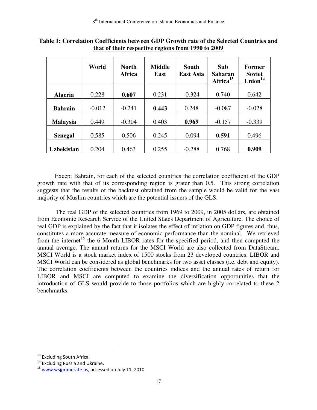|                 | World    | <b>North</b><br>Africa | <b>Middle</b><br>East | <b>South</b><br><b>East Asia</b> | Sub<br>Saharan<br>Africa <sup>13</sup> | <b>Former</b><br><b>Soviet</b><br>Union <sup>14</sup> |
|-----------------|----------|------------------------|-----------------------|----------------------------------|----------------------------------------|-------------------------------------------------------|
| <b>Algeria</b>  | 0.228    | 0.607                  | 0.231                 | $-0.324$                         | 0.740                                  | 0.642                                                 |
| <b>Bahrain</b>  | $-0.012$ | $-0.241$               | 0.443                 | 0.248                            | $-0.087$                               | $-0.028$                                              |
| <b>Malaysia</b> | 0.449    | $-0.304$               | 0.403                 | 0.969                            | $-0.157$                               | $-0.339$                                              |
| <b>Senegal</b>  | 0.585    | 0.506                  | 0.245                 | $-0.094$                         | 0.591                                  | 0.496                                                 |
| Uzbekistan      | 0.204    | 0.463                  | 0.255                 | $-0.288$                         | 0.768                                  | 0.909                                                 |

**Table 1: Correlation Coefficients between GDP Growth rate of the Selected Countries and that of their respective regions from 1990 to 2009**

Except Bahrain, for each of the selected countries the correlation coefficient of the GDP growth rate with that of its corresponding region is grater than 0.5. This strong correlation suggests that the results of the backtest obtained from the sample would be valid for the vast majority of Muslim countries which are the potential issuers of the GLS.

The real GDP of the selected countries from 1969 to 2009, in 2005 dollars, are obtained from Economic Research Service of the United States Department of Agriculture. The choice of real GDP is explained by the fact that it isolates the effect of inflation on GDP figures and, thus, constitutes a more accurate measure of economic performance than the nominal. We retrieved from the internet<sup>15</sup> the 6-Month LIBOR rates for the specified period, and then computed the annual average. The annual returns for the MSCI World are also collected from DataStream. MSCI World is a stock market index of 1500 stocks from 23 developed countries. LIBOR and MSCI World can be considered as global benchmarks for two asset classes (i.e. debt and equity). The correlation coefficients between the countries indices and the annual rates of return for LIBOR and MSCI are computed to examine the diversification opportunities that the introduction of GLS would provide to those portfolios which are highly correlated to these 2 benchmarks.

l

<sup>&</sup>lt;sup>13</sup> Excluding South Africa.

<sup>&</sup>lt;sup>14</sup> Excluding Russia and Ukraine.

<sup>15</sup> [www.wsjprimerate.us,](http://www.wsjprimerate.us/) accessed on July 11, 2010.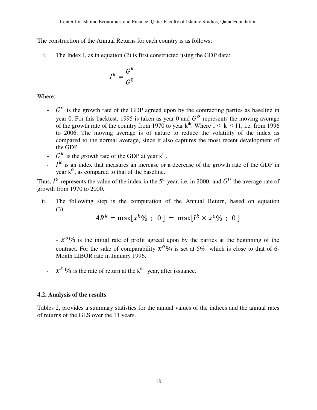The construction of the Annual Returns for each country is as follows:

i. The Index I, as in equation (2) is first constructed using the GDP data:

$$
I^k = \frac{G^k}{G^0}
$$

Where:

- $\sim$   $G^{\circ}$  is the growth rate of the GDP agreed upon by the contracting parties as baseline in year 0. For this backtest, 1995 is taken as year 0 and  $G<sup>o</sup>$  represents the moving average of the growth rate of the country from 1970 to year  $k^{th}$ . Where  $1 \le k \le 11$ , i.e. from 1996 to 2006. The moving average is of nature to reduce the volatility of the index as compared to the normal average, since it also captures the most recent development of the GDP.
- $G^k$  is the growth rate of the GDP at year  $k^{th}$ .
- $I^k$  is an index that measures an increase or a decrease of the growth rate of the GDP in year  $k<sup>th</sup>$ , as compared to that of the baseline.

Thus,  $I^5$  represents the value of the index in the 5<sup>th</sup> year, i.e. in 2000, and  $G^0$  the average rate of growth from 1970 to 2000.

ii. The following step is the computation of the Annual Return, based on equation (3):

$$
AR^{k} = \max[x^{k}\% \; ; \; 0] = \max[I^{k} \times x^{0}\% \; ; \; 0]
$$

 $- x<sup>0</sup>$ % is the initial rate of profit agreed upon by the parties at the beginning of the contract. For the sake of comparability  $x^{0}\%$  is set at 5% which is close to that of 6-Month LIBOR rate in January 1996.

 $\int x^k \, \frac{\alpha}{6}$  is the rate of return at the k<sup>th</sup> year, after issuance.

## **4.2. Analysis of the results**

Tables 2, provides a summary statistics for the annual values of the indices and the annual rates of returns of the GLS over the 11 years.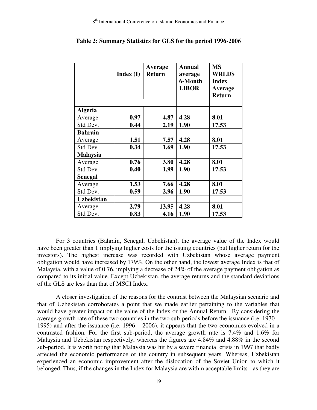|                   | Index(I) | <b>Average</b><br><b>Return</b> | <b>Annual</b><br>average | <b>MS</b><br><b>WRLD\$</b> |
|-------------------|----------|---------------------------------|--------------------------|----------------------------|
|                   |          |                                 | 6-Month                  | <b>Index</b>               |
|                   |          |                                 | <b>LIBOR</b>             | Average                    |
|                   |          |                                 |                          | <b>Return</b>              |
|                   |          |                                 |                          |                            |
| <b>Algeria</b>    |          |                                 |                          |                            |
| Average           | 0.97     | 4.87                            | 4.28                     | 8.01                       |
| Std Dev.          | 0.44     | 2.19                            | 1.90                     | 17.53                      |
| <b>Bahrain</b>    |          |                                 |                          |                            |
| Average           | 1.51     | 7.57                            | 4.28                     | 8.01                       |
| Std Dev.          | 0.34     | 1.69                            | 1.90                     | 17.53                      |
| <b>Malaysia</b>   |          |                                 |                          |                            |
| Average           | 0.76     | 3.80                            | 4.28                     | 8.01                       |
| Std Dev.          | 0.40     | 1.99                            | 1.90                     | 17.53                      |
| <b>Senegal</b>    |          |                                 |                          |                            |
| Average           | 1.53     | 7.66                            | 4.28                     | 8.01                       |
| Std Dev.          | 0.59     | 2.96                            | 1.90                     | 17.53                      |
| <b>Uzbekistan</b> |          |                                 |                          |                            |
| Average           | 2.79     | 13.95                           | 4.28                     | 8.01                       |
| Std Dev.          | 0.83     | 4.16                            | 1.90                     | 17.53                      |

#### **Table 2: Summary Statistics for GLS for the period 1996-2006**

For 3 countries (Bahrain, Senegal, Uzbekistan), the average value of the Index would have been greater than 1 implying higher costs for the issuing countries (but higher return for the investors). The highest increase was recorded with Uzbekistan whose average payment obligation would have increased by 179%. On the other hand, the lowest average Index is that of Malaysia, with a value of 0.76, implying a decrease of 24% of the average payment obligation as compared to its initial value. Except Uzbekistan, the average returns and the standard deviations of the GLS are less than that of MSCI Index.

A closer investigation of the reasons for the contrast between the Malaysian scenario and that of Uzbekistan corroborates a point that we made earlier pertaining to the variables that would have greater impact on the value of the Index or the Annual Return. By considering the average growth rate of these two countries in the two sub-periods before the issuance (i.e. 1970 – 1995) and after the issuance (i.e. 1996 – 2006), it appears that the two economies evolved in a contrasted fashion. For the first sub-period, the average growth rate is 7.4% and 1.6% for Malaysia and Uzbekistan respectively, whereas the figures are 4.84% and 4.88% in the second sub-period. It is worth noting that Malaysia was hit by a severe financial crisis in 1997 that badly affected the economic performance of the country in subsequent years. Whereas, Uzbekistan experienced an economic improvement after the dislocation of the Soviet Union to which it belonged. Thus, if the changes in the Index for Malaysia are within acceptable limits - as they are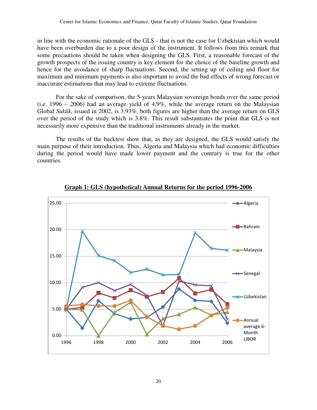in line with the economic rationale of the GLS - that is not the case for Uzbekistan which would have been overburden due to a poor design of the instrument. It follows from this remark that some precautions should be taken when designing the GLS. First, a reasonable forecast of the growth prospects of the issuing country is key element for the choice of the baseline growth and hence for the avoidance of sharp fluctuations. Second, the setting up of ceiling and floor for maximum and minimum payments is also important to avoid the bad effects of wrong forecast or inaccurate estimations that may lead to extreme fluctuations.

For the sake of comparison, the 5-years Malaysian sovereign bonds over the same period (i.e. 1996 – 2006) had an average yield of 4.9%, while the average return on the Malaysian Global *Sukūk*, issued in 2002, is 3.93%. both figures are higher than the average return on GLS over the period of the study which is 3.8%. This result substantiates the point that GLS is not necessarily more expensive than the traditional instruments already in the market.

The results of the backtest show that, as they are designed, the GLS would satisfy the main purpose of their introduction. Thus, Algeria and Malaysia which had economic difficulties during the period would have made lower payment and the contrary is true for the other countries.



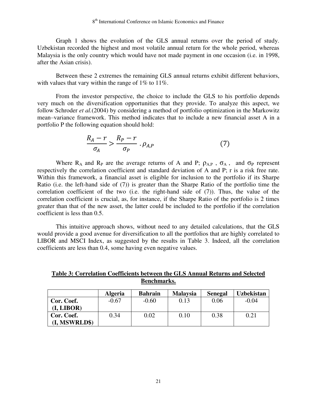Graph 1 shows the evolution of the GLS annual returns over the period of study. Uzbekistan recorded the highest and most volatile annual return for the whole period, whereas Malaysia is the only country which would have not made payment in one occasion (i.e. in 1998, after the Asian crisis).

Between these 2 extremes the remaining GLS annual returns exhibit different behaviors, with values that vary within the range of 1% to 11%.

From the investor perspective, the choice to include the GLS to his portfolio depends very much on the diversification opportunities that they provide. To analyze this aspect, we follow Schroder *et al.*(2004) by considering a method of portfolio optimization in the Markowitz mean–variance framework. This method indicates that to include a new financial asset A in a portfolio P the following equation should hold:

$$
\frac{R_A - r}{\sigma_A} > \frac{R_P - r}{\sigma_P} \cdot \rho_{A,P} \tag{7}
$$

Where  $R_A$  and  $R_P$  are the average returns of A and P;  $\rho_{AP}$ ,  $\sigma_A$ , and  $\sigma_P$  represent respectively the correlation coefficient and standard deviation of A and P; r is a risk free rate. Within this framework, a financial asset is eligible for inclusion to the portfolio if its Sharpe Ratio (i.e. the left-hand side of (7)) is greater than the Sharpe Ratio of the portfolio time the correlation coefficient of the two (i.e. the right-hand side of (7)). Thus, the value of the correlation coefficient is crucial, as, for instance, if the Sharpe Ratio of the portfolio is 2 times greater than that of the new asset, the latter could be included to the portfolio if the correlation coefficient is less than 0.5.

This intuitive approach shows, without need to any detailed calculations, that the GLS would provide a good avenue for diversification to all the portfolios that are highly correlated to LIBOR and MSCI Index, as suggested by the results in Table 3. Indeed, all the correlation coefficients are less than 0.4, some having even negative values.

**Table 3: Correlation Coefficients between the GLS Annual Returns and Selected Benchmarks.**

|                             | <b>Algeria</b> | <b>Bahrain</b> | <b>Malaysia</b> | <b>Senegal</b> | <b>Uzbekistan</b> |
|-----------------------------|----------------|----------------|-----------------|----------------|-------------------|
| Cor. Coef.<br>(I, LIBOR)    | $-0.67$        | $-0.60$        | 0.13            | 0.06           | $-0.04$           |
| Cor. Coef.<br>(I, MSWRLD\$) | 0.34           | 0.02           | 0.10            | 0.38           | 0.21              |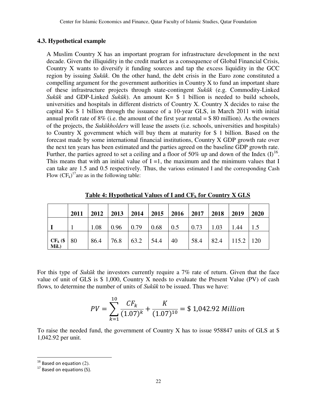## **4.3. Hypothetical example**

A Muslim Country X has an important program for infrastructure development in the next decade. Given the illiquidity in the credit market as a consequence of Global Financial Crisis, Country X wants to diversify it funding sources and tap the excess liquidity in the GCC region by issuing *Sukūk*. On the other hand, the debt crisis in the Euro zone constituted a compelling argument for the government authorities in Country X to fund an important share of these infrastructure projects through state-contingent *Sukūk* (e.g. Commodity-Linked *Sukūk* and GDP-Linked *Sukūk*). An amount K= \$ 1 billion is needed to build schools, universities and hospitals in different districts of Country X. Country X decides to raise the capital  $K = $ 1$  billion through the issuance of a 10-year GLS, in March 2011 with initial annual profit rate of  $8\%$  (i.e. the amount of the first year rental  $=$  \$ 80 million). As the owners of the projects, the *Sukūkholders* will lease the assets (i.e. schools, universities and hospitals) to Country X government which will buy them at maturity for \$ 1 billion. Based on the forecast made by some international financial institutions, Country X GDP growth rate over the next ten years has been estimated and the parties agreed on the baseline GDP growth rate. Further, the parties agreed to set a ceiling and a floor of 50% up and down of the Index  $(I)^{16}$ . This means that with an initial value of  $I = 1$ , the maximum and the minimum values that I can take are 1.5 and 0.5 respectively. Thus, the various estimated I and the corresponding Cash Flow  $(CF_k)^{17}$  are as in the following table:

|                     | 2011 | 2012 | 2013 | 2014 | 2015 | 2016 | 2017 | 2018 | 2019          | 2020 |
|---------------------|------|------|------|------|------|------|------|------|---------------|------|
|                     |      | 1.08 | 0.96 | 0.79 | 0.68 | 0.5  | 0.73 | 1.03 | 1.44          |      |
| $CF_k$ (\$<br>Mil.) | 80   | 86.4 | 76.8 | 63.2 | 54.4 | 40   | 58.4 | 82.4 | $115.2$   120 |      |

**Table 4: Hypothetical Values of I and CFk for Country X GLS**

For this type of *Sukūk* the investors currently require a 7% rate of return. Given that the face value of unit of GLS is \$ 1,000, Country X needs to evaluate the Present Value (PV) of cash flows*,* to determine the number of units of *Sukūk* to be issued. Thus we have:

$$
PV = \sum_{k=1}^{10} \frac{CF_k}{(1.07)^k} + \frac{K}{(1.07)^{10}} = $1,042.92 \text{ million}
$$

To raise the needed fund, the government of Country X has to issue 958847 units of GLS at \$ 1,042.92 per unit.

 $\overline{\phantom{0}}$ 

 $16$  Based on equation (2).

 $17$  Based on equations (5).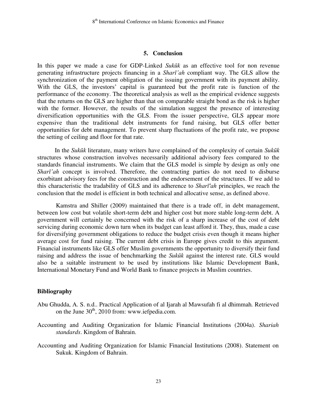#### **5. Conclusion**

In this paper we made a case for GDP-Linked *Sukūk* as an effective tool for non revenue generating infrastructure projects financing in a *Sharī'ah* compliant way. The GLS allow the synchronization of the payment obligation of the issuing government with its payment ability. With the GLS, the investors' capital is guaranteed but the profit rate is function of the performance of the economy. The theoretical analysis as well as the empirical evidence suggests that the returns on the GLS are higher than that on comparable straight bond as the risk is higher with the former. However, the results of the simulation suggest the presence of interesting diversification opportunities with the GLS. From the issuer perspective, GLS appear more expensive than the traditional debt instruments for fund raising, but GLS offer better opportunities for debt management. To prevent sharp fluctuations of the profit rate, we propose the setting of ceiling and floor for that rate.

In the *Sukūk* literature, many writers have complained of the complexity of certain *Sukūk* structures whose construction involves necessarily additional advisory fees compared to the standards financial instruments. We claim that the GLS model is simple by design as only one *Sharī'ah* concept is involved. Therefore, the contracting parties do not need to disburse exorbitant advisory fees for the construction and the endorsement of the structures. If we add to this characteristic the tradability of GLS and its adherence to *Sharī'ah* principles, we reach the conclusion that the model is efficient in both technical and allocative sense, as defined above.

Kamstra and Shiller (2009) maintained that there is a trade off, in debt management, between low cost but volatile short-term debt and higher cost but more stable long-term debt. A government will certainly be concerned with the risk of a sharp increase of the cost of debt servicing during economic down turn when its budget can least afford it. They, thus, made a case for diversifying government obligations to reduce the budget crisis even though it means higher average cost for fund raising. The current debt crisis in Europe gives credit to this argument. Financial instruments like GLS offer Muslim governments the opportunity to diversify their fund raising and address the issue of benchmarking the *Sukūk* against the interest rate. GLS would also be a suitable instrument to be used by institutions like Islamic Development Bank, International Monetary Fund and World Bank to finance projects in Muslim countries.

#### **Bibliography**

- Abu Ghudda, A. S. n.d.. Practical Application of al Ijarah al Mawsufah fi al dhimmah*.* Retrieved on the June  $30<sup>th</sup>$ , 2010 from: www.iefpedia.com.
- Accounting and Auditing Organization for Islamic Financial Institutions (2004a). *Shariah standards*. Kingdom of Bahrain.
- Accounting and Auditing Organization for Islamic Financial Institutions (2008). Statement on Sukuk. Kingdom of Bahrain.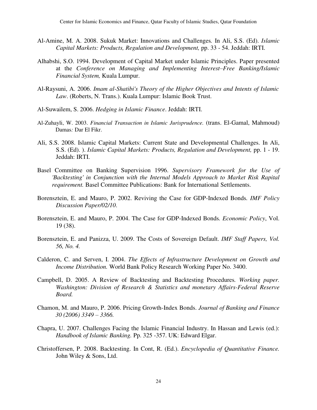- Al-Amine, M. A. 2008. Sukuk Market: Innovations and Challenges*.* In Ali, S.S. (Ed). *Islamic Capital Markets: Products, Regulation and Development,* pp. 33 - 54. Jeddah: IRTI.
- Alhabshi, S.O. 1994. Development of Capital Market under Islamic Principles. Paper presented at the *Conference on Managing and Implementing Interest–Free Banking/Islamic Financial System,* Kuala Lumpur.
- Al-Raysuni, A. 2006. *Imam al-Shatibi's Theory of the Higher Objectives and Intents of Islamic Law*. (Roberts, N. Trans.). Kuala Lumpur: Islamic Book Trust.
- Al-Suwailem, S. 2006. *Hedging in Islamic Finance*. Jeddah: IRTI.
- Al-Zuhayli, W. 2003. *Financial Transaction in Islamic Jurisprudence.* (trans. El-Gamal, Mahmoud) Damas*:* Dar El Fikr.
- Ali, S.S. 2008. Islamic Capital Markets: Current State and Developmental Challenges. In Ali, S.S. (Ed). ). *Islamic Capital Markets: Products, Regulation and Development,* pp. 1 - 19. Jeddah: IRTI.
- Basel Committee on Banking Supervision 1996. *Supervisory Framework for the Use of 'Backtesting' in Conjunction with the Internal Models Approach to Market Risk Rapital requirement.* Basel Committee Publications: Bank for International Settlements.
- Borensztein, E. and Mauro, P. 2002. Reviving the Case for GDP-Indexed Bonds*. IMF Policy Discussion Paper/02/10*.
- Borensztein, E. and Mauro, P. 2004. The Case for GDP-Indexed Bonds*. Economic Policy*, Vol. 19 (38).
- Borensztein, E. and Panizza, U. 2009. The Costs of Sovereign Default. *IMF Staff Papers, Vol. 56, No. 4.*
- Calderon, C. and Serven, I. 2004. *The Effects of Infrastructure Development on Growth and Income Distribution.* World Bank Policy Research Working Paper No. 3400.
- Campbell, D. 2005. A Review of Backtesting and Backtesting Procedures*. Working paper. Washington: Division of Research & Statistics and monetary Affairs-Federal Reserve Board.*
- Chamon, M. and Mauro, P. 2006. Pricing Growth-Index Bonds. *Journal of Banking and Finance 30 (2006) 3349 – 3366.*
- Chapra, U. 2007. Challenges Facing the Islamic Financial Industry. In Hassan and Lewis (ed.): *Handbook of Islamic Banking.* Pp. 325 -357. UK: Edward Elgar.
- Christoffersen, P. 2008. Backtesting. In Cont, R. (Ed.). *Encyclopedia of Quantitative Finance.*  John Wiley & Sons, Ltd.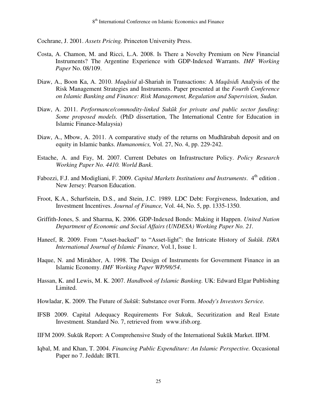Cochrane, J. 2001. *Assets Pricing.* Princeton University Press.

- Costa, A. Chamon, M. and Ricci, L.A. 2008. Is There a Novelty Premium on New Financial Instruments? The Argentine Experience with GDP-Indexed Warrants. *IMF Working Paper* No. 08/109.
- Diaw, A., Boon Ka, A. 2010. *Maqāsid* al-Shariah in Transactions: A *Maqāsid*i Analysis of the Risk Management Strategies and Instruments. Paper presented at the *Fourth Conference on Islamic Banking and Finance: Risk Management, Regulation and Supervision, Sudan.*
- Diaw, A. 2011. *Performance/commodity-linked Sukūk for private and public sector funding: Some proposed models.* (PhD dissertation, The International Centre for Education in Islamic Finance-Malaysia)
- Diaw, A., Mbow, A. 2011. A comparative study of the returns on Mudhārabah deposit and on equity in Islamic banks. *Humanomics,* Vol. 27, No. 4, pp. 229-242.
- Estache, A. and Fay, M. 2007. Current Debates on Infrastructure Policy. *Policy Research Working Paper No. 4410. World Bank*.
- Fabozzi, F.J. and Modigliani, F. 2009. *Capital Markets Institutions and Instruments*. 4<sup>th</sup> edition. New Jersey: Pearson Education.
- Froot, K.A., Scharfstein, D.S., and Stein, J.C. 1989. LDC Debt: Forgiveness, Indexation, and Investment Incentives. *Journal of Finance,* Vol. 44, No. 5, pp. 1335-1350.
- Griffith-Jones, S. and Sharma, K. 2006. GDP-Indexed Bonds: Making it Happen. *United Nation Department of Economic and Social Affairs (UNDESA) Working Paper No. 21.*
- Haneef, R. 2009. From "Asset-backed" to "Asset-light": the Intricate History of *Sukūk. ISRA International Journal of Islamic Finance,* Vol.1, Issue 1.
- Haque, N. and Mirakhor, A. 1998. The Design of Instruments for Government Finance in an Islamic Economy. *IMF Working Paper WP/98/54*.
- Hassan, K. and Lewis, M. K. 2007. *Handbook of Islamic Banking.* UK: Edward Elgar Publishing Limited.
- Howladar, K. 2009. The Future of *Sukūk*: Substance over Form. *Moody's Investors Service.*
- IFSB 2009. Capital Adequacy Requirements For Sukuk, Securitization and Real Estate Investment*.* Standard No. 7, retrieved from www.ifsb.org.
- IIFM 2009. Sukūk Report: A Comprehensive Study of the International Sukūk Market. IIFM.
- Iqbal, M. and Khan, T. 2004. *Financing Public Expenditure: An Islamic Perspective.* Occasional Paper no 7. Jeddah: IRTI.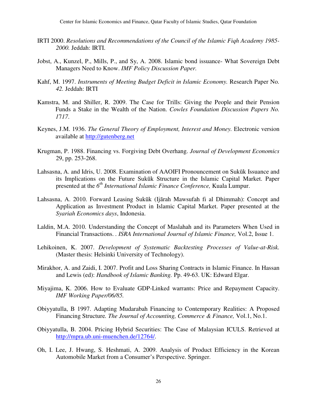- IRTI 2000. *Resolutions and Recommendations of the Council of the Islamic Fiqh Academy 1985- 2000.* Jeddah: IRTI.
- Jobst, A., Kunzel, P., Mills, P., and Sy, A. 2008. Islamic bond issuance- What Sovereign Debt Managers Need to Know. *IMF Policy Discussion Paper.*
- Kahf, M. 1997. *Instruments of Meeting Budget Deficit in Islamic Economy.* Research Paper No*. 42.* Jeddah: IRTI
- Kamstra, M. and Shiller, R. 2009. The Case for Trills: Giving the People and their Pension Funds a Stake in the Wealth of the Nation. *Cowles Foundation Discussion Papers No. 1*7*17*.
- Keynes, J.M. 1936. *The General Theory of Employment, Interest and Money.* Electronic version available at http://gutenberg.net
- Krugman, P. 1988. Financing vs. Forgiving Debt Overhang. *Journal of Development Economics*  29, pp. 253-268.
- Lahsasna, A. and Idris, U. 2008. Examination of AAOIFI Pronouncement on Sukūk Issuance and its Implications on the Future Sukūk Structure in the Islamic Capital Market. Paper presented at the *6 th International Islamic Finance Conference,* Kuala Lumpur.
- Lahsasna, A. 2010. Forward Leasing Sukūk (Ijārah Mawsufah fi al Dhimmah): Concept and Application as Investment Product in Islamic Capital Market. Paper presented at the *Syariah Economics days*, Indonesia.
- Laldin, M.A. 2010. Understanding the Concept of Maslahah and its Parameters When Used in Financial Transactions. *. ISRA International Journal of Islamic Finance,* Vol.2, Issue 1.
- Lehikoinen, K. 2007. *Development of Systematic Backtesting Processes of Value-at-Risk.* (Master thesis: Helsinki University of Technology).
- Mirakhor, A. and Zaidi, I. 2007. Profit and Loss Sharing Contracts in Islamic Finance. In Hassan and Lewis (ed): *Handbook of Islamic Banking.* Pp. 49-63. UK: Edward Elgar.
- Miyajima, K. 2006. How to Evaluate GDP-Linked warrants: Price and Repayment Capacity. *IMF Working Paper/06/85.*
- Obiyyatulla, B 1997. Adapting Mudarabah Financing to Contemporary Realities: A Proposed Financing Structure*. The Journal of Accounting, Commerce & Finance,* Vol.1, No.1.
- Obiyyatulla, B. 2004. Pricing Hybrid Securities: The Case of Malaysian ICULS. Retrieved at [http://mpra.ub.uni-muenchen.de/12764/.](http://mpra.ub.uni-muenchen.de/12764/)
- Oh, I. Lee, J. Hwang, S. Heshmati, A. 2009. Analysis of Product Efficiency in the Korean Automobile Market from a Consumer's Perspective. Springer.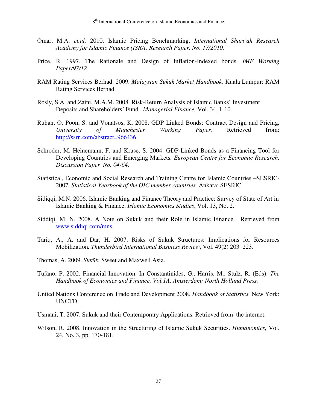- Omar, M.A. *et.al.* 2010. Islamic Pricing Benchmarking. *International Sharī'ah Research Academy for Islamic Finance (ISRA) Research Paper, No. 17/2010.*
- Price, R. 1997. The Rationale and Design of Inflation-Indexed bonds*. IMF Working Paper/97/12.*
- RAM Rating Services Berhad. 2009. *Malaysian Sukūk Market Handbook.* Kuala Lumpur: RAM Rating Services Berhad.
- Rosly, S.A. and Zaini, M.A.M. 2008. Risk-Return Analysis of Islamic Banks" Investment Deposits and Shareholders" Fund. *Managerial Finance,* Vol. 34, I. 10.
- Ruban, O. Poon, S. and Vonatsos, K. 2008. GDP Linked Bonds: Contract Design and Pricing*. University of Manchester Working Paper,* Retrieved from: [http://ssrn.com/abstract=966436.](http://ssrn.com/abstract=966436)
- Schroder, M. Heinemann, F. and Kruse, S. 2004. GDP-Linked Bonds as a Financing Tool for Developing Countries and Emerging Markets*. European Centre for Economic Research, Discussion Paper No. 04-64.*
- Statistical, Economic and Social Research and Training Centre for Islamic Countries –SESRIC-2007. *Statistical Yearbook of the OIC member countries.* Ankara: SESRIC.
- Sidiqqi, M.N. 2006. Islamic Banking and Finance Theory and Practice: Survey of State of Art in Islamic Banking & Finance. *Islamic Economics Studies*, Vol. 13, No. 2.
- Siddiqi, M. N. 2008. A Note on Sukuk and their Role in Islamic Finance. Retrieved from [www.siddiqi.com/mns](http://www.siddiqi.com/mns)
- Tariq, A., A. and Dar, H. 2007. Risks of Sukūk Structures: Implications for Resources Mobilization*. Thunderbird International Business Review*, Vol. 49(2) 203–223.
- Thomas, A. 2009. *Sukūk.* Sweet and Maxwell Asia.
- Tufano, P. 2002. Financial Innovation. In Constantinides, G., Harris, M., Stulz, R. (Eds). *The Handbook of Economics and Finance, Vol.1A. Amsterdam: North Holland Press.*
- United Nations Conference on Trade and Development 2008. *Handbook of Statistics.* New York: UNCTD.
- Usmani, T. 2007. Sukūk and their Contemporary Applications. Retrieved from the internet.
- Wilson, R. 2008. Innovation in the Structuring of Islamic Sukuk Securities. *Humanomics*, Vol. 24, No. 3, pp. 170-181.